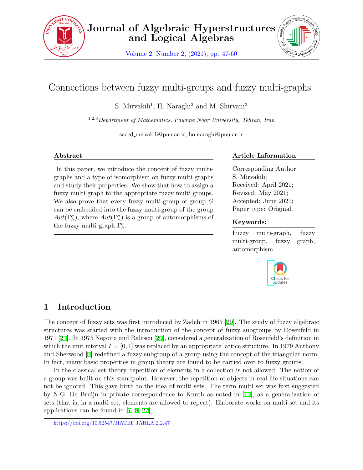

Volume 2, Number 2, (2021), pp. 47-60



# Connections between fuzzy multi-groups and fuzzy multi-graphs

S. Mirvakili<sup>1</sup>, H. Naraghi<sup>2</sup> and M. Shirvani<sup>3</sup>

1,2,3*Department of Mathematics, Payame Noor University, Tehran, Iran*

saeed mirvakili@pnu.ac.ir, ho.naraghi@pnu.ac.ir

### **Abstract**

In this paper, we introduce the concept of fuzzy multigraphs and a type of isomorphism on fuzzy multi-graphs and study their properties. We show that how to assign a fuzzy multi-graph to the appropriate fuzzy multi-groups. We also prove that every fuzzy multi-group of group *G* can be embedded into the fuzzy multi-group of the group  $Aut(\Gamma^{\sigma}_{\wedge})$ , where  $Aut(\Gamma^{\sigma}_{\wedge})$  is a group of automorphisms of the fuzzy multi-graph  $\Gamma^{\sigma}_{\wedge}$ .

## **Article Information**

Corresponding Author: S. Mirvakili; Received: April 2021; Revised: May 2021; Accepted: June 2021; Paper type: Original.

## **Keywords:**

Fuzzy multi-graph, fuzzy multi-group, fuzzy graph, automorphism.



## **1 Introduction**

The concept of fuzzy sets was first introduced by Zadeh in 1965[[29\]](#page-13-0). The study of fuzzy algebraic structures was started with the introduction of the concept of fuzzy subgroups by Rosenfeld in 1971 [\[21](#page-12-0)]. In 1975 Negoita and Ralescu [\[20](#page-12-1)], considered a generalization of Rosenfeld's definition in which the unit interval  $I = [0, 1]$  was replaced by an appropriate lattice structure. In 1979 Anthony and Sherwood[[1](#page-11-0)] redefined a fuzzy subgroup of a group using the concept of the triangular norm. In fact, many basic properties in group theory are found to be carried over to fuzzy groups.

In the classical set theory, repetition of elements in a collection is not allowed. The notion of a group was built on this standpoint. However, the repetition of objects in real-life situations can not be ignored. This gave birth to the idea of multi-sets. The term multi-set was first suggested by N.G. De Bruijn in private correspondence to Knuth as noted in[[15\]](#page-12-2), as a generalization of sets (that is, in a multi-set, elements are allowed to repeat). Elaborate works on multi-set and its applications can be found in[[7](#page-11-1), [8](#page-12-3), [27\]](#page-13-1).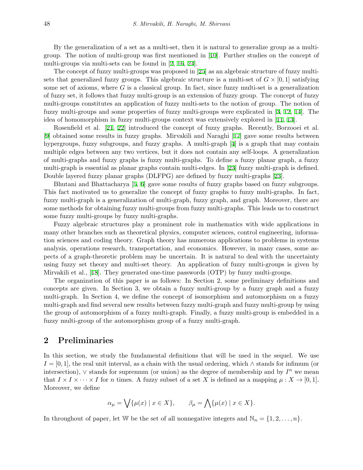By the generalization of a set as a multi-set, then it is natural to generalize group as a multigroup. The notion of multi-group was first mentioned in [\[10](#page-12-4)]. Further studies on the concept of multi-groups via multi-sets can be found in[[2](#page-11-2), [16,](#page-12-5) [24\]](#page-12-6).

The concept of fuzzy multi-groups was proposed in[[25\]](#page-12-7) as an algebraic structure of fuzzy multisets that generalized fuzzy groups. This algebraic structure is a multi-set of  $G \times [0,1]$  satisfying some set of axioms, where *G* is a classical group. In fact, since fuzzy multi-set is a generalization of fuzzy set, it follows that fuzzy multi-group is an extension of fuzzy group. The concept of fuzzy multi-groups constitutes an application of fuzzy multi-sets to the notion of group. The notion of fuzzy multi-groups and some properties of fuzzy multi-groups were explicated in[[3](#page-11-3), [12,](#page-12-8) [14\]](#page-12-9). The idea of homomorphism in fuzzy multi-groups context was extensively explored in[[11,](#page-12-10) [13](#page-12-11)].

Rosenfield et al.[[21,](#page-12-0) [22](#page-12-12)] introduced the concept of fuzzy graphs. Recently, Borzooei et al. [[9](#page-12-13)] obtained some results in fuzzy graphs. Mirvakili and Naraghi[[17\]](#page-12-14) gave some results between hypergroups, fuzzy subgroups, and fuzzy graphs. A multi-graph [\[4\]](#page-11-4) is a graph that may contain multiple edges between any two vertices, but it does not contain any self-loops. A generalization of multi-graphs and fuzzy graphs is fuzzy multi-graphs. To define a fuzzy planar graph, a fuzzy multi-graph is essential as planar graphs contain multi-edges. In[[23\]](#page-12-15) fuzzy multi-graph is defined. Double layered fuzzy planar graphs (DLFPG) are defined by fuzzy multi-graphs[[23\]](#page-12-15).

Bhutani and Bhattacharya [\[5,](#page-11-5) [6\]](#page-11-6) gave some results of fuzzy graphs based on fuzzy subgroups. This fact motivated us to generalize the concept of fuzzy graphs to fuzzy multi-graphs. In fact, fuzzy multi-graph is a generalization of multi-graph, fuzzy graph, and graph. Moreover, there are some methods for obtaining fuzzy multi-groups from fuzzy multi-graphs. This leads us to construct some fuzzy multi-groups by fuzzy multi-graphs.

Fuzzy algebraic structures play a prominent role in mathematics with wide applications in many other branches such as theoretical physics, computer sciences, control engineering, information sciences and coding theory. Graph theory has numerous applications to problems in systems analysis, operations research, transportation, and economics. However, in many cases, some aspects of a graph-theoretic problem may be uncertain. It is natural to deal with the uncertainty using fuzzy set theory and multi-set theory. An application of fuzzy multi-groups is given by Mirvakili et al.,[[18\]](#page-12-16). They generated one-time passwords (OTP) by fuzzy multi-groups.

The organization of this paper is as follows: In Section 2, some preliminary definitions and concepts are given. In Section 3, we obtain a fuzzy multi-group by a fuzzy graph and a fuzzy multi-graph. In Section 4, we define the concept of isomorphism and automorphism on a fuzzy multi-graph and find several new results between fuzzy multi-graph and fuzzy multi-group by using the group of automorphism of a fuzzy multi-graph. Finally, a fuzzy multi-group is embedded in a fuzzy multi-group of the automorphism group of a fuzzy multi-graph.

## **2 Preliminaries**

In this section, we study the fundamental definitions that will be used in the sequel. We use *I* = [0*,* 1], the real unit interval, as a chain with the usual ordering, which *∧* stands for infimum (or intersection),  $\vee$  stands for supremum (or union) as the degree of membership and by  $I^n$  we mean that  $I \times I \times \cdots \times I$  for *n* times. A fuzzy subset of a set X is defined as a mapping  $\mu : X \to [0, 1].$ Moreover, we define

$$
\alpha_{\mu} = \bigvee \{ \mu(x) \mid x \in X \}, \qquad \beta_{\mu} = \bigwedge \{ \mu(x) \mid x \in X \}.
$$

In throughout of paper, let W be the set of all nonnegative integers and  $\mathbb{N}_n = \{1, 2, \ldots, n\}$ *.*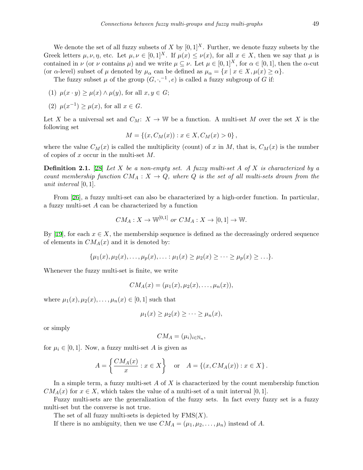We denote the set of all fuzzy subsets of *X* by  $[0, 1]^{X}$ . Further, we denote fuzzy subsets by the Greek letters  $\mu, \nu, \eta$ , etc. Let  $\mu, \nu \in [0, 1]^X$ . If  $\mu(x) \leq \nu(x)$ , for all  $x \in X$ , then we say that  $\mu$  is contained in *ν* (or *ν* contains *µ*) and we write  $\mu \subseteq \nu$ . Let  $\mu \in [0,1]^X$ , for  $\alpha \in [0,1]$ , then the *α*-cut (or *α*-level) subset of  $\mu$  denoted by  $\mu_{\alpha}$  can be defined as  $\mu_{\alpha} = \{x \mid x \in X, \mu(x) \ge \alpha\}.$ 

The fuzzy subset  $\mu$  of the group  $(G, \cdot, ^{-1}, e)$  is called a fuzzy subgroup of *G* if:

- (1)  $\mu(x \cdot y) \ge \mu(x) \wedge \mu(y)$ , for all  $x, y \in G$ ;
- (2)  $\mu(x^{-1}) \ge \mu(x)$ , for all  $x \in G$ .

Let *X* be a universal set and  $C_M: X \to W$  be a function. A multi-set *M* over the set *X* is the following set

$$
M = \{(x, C_M(x)) : x \in X, C_M(x) > 0\},\,
$$

where the value  $C_M(x)$  is called the multiplicity (count) of x in M, that is,  $C_M(x)$  is the number of copies of *x* occur in the multi-set *M.*

**Definition 2.1.** [[28\]](#page-13-2) *Let X be a non-empty set. A fuzzy multi-set A of X is characterized by a count membership function*  $CM_A: X \to Q$ , where Q is the set of all multi-sets drown from the *unit interval* [0*,* 1]*.*

From [\[26](#page-12-17)], a fuzzy multi-set can also be characterized by a high-order function. In particular, a fuzzy multi-set *A* can be characterized by a function

$$
CM_A: X \to \mathbb{W}^{[0,1]}
$$
 or  $CM_A: X \to [0,1] \to \mathbb{W}$ .

By[[19\]](#page-12-18), for each  $x \in X$ , the membership sequence is defined as the decreasingly ordered sequence of elements in  $CM_A(x)$  and it is denoted by:

$$
\{\mu_1(x),\mu_2(x),\ldots,\mu_p(x),\ldots:\mu_1(x)\geq\mu_2(x)\geq\cdots\geq\mu_p(x)\geq\ldots\}.
$$

Whenever the fuzzy multi-set is finite, we write

$$
CM_A(x) = (\mu_1(x), \mu_2(x), \dots, \mu_n(x)),
$$

where  $\mu_1(x), \mu_2(x), \ldots, \mu_n(x) \in [0, 1]$  such that

$$
\mu_1(x) \ge \mu_2(x) \ge \cdots \ge \mu_n(x),
$$

or simply

$$
CM_A = (\mu_i)_{i \in \mathbb{N}_n},
$$

for  $\mu_i \in [0, 1]$ . Now, a fuzzy multi-set *A* is given as

$$
A = \left\{ \frac{CM_A(x)}{x} : x \in X \right\} \quad \text{or} \quad A = \left\{ (x, CM_A(x)) : x \in X \right\}.
$$

In a simple term, a fuzzy multi-set *A* of *X* is characterized by the count membership function  $CM_A(x)$  for  $x \in X$ , which takes the value of a multi-set of a unit interval [0, 1].

Fuzzy multi-sets are the generalization of the fuzzy sets. In fact every fuzzy set is a fuzzy multi-set but the converse is not true.

The set of all fuzzy multi-sets is depicted by FMS(*X*)*.*

If there is no ambiguity, then we use  $CM_A = (\mu_1, \mu_2, \dots, \mu_n)$  instead of A.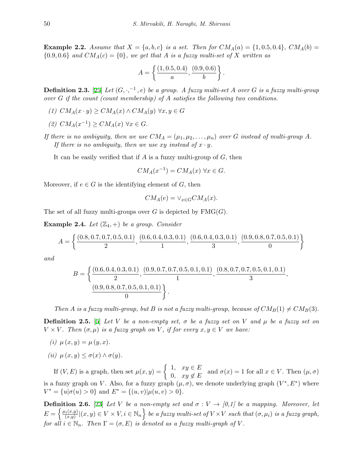**Example 2.2.** Assume that  $X = \{a, b, c\}$  is a set. Then for  $CM_A(a) = \{1, 0.5, 0.4\}$ ,  $CM_A(b) =$  ${0.9, 0.6}$  *and*  $CM_A(c) = {0}$ *, we get that A is a fuzzy multi-set of X written as* 

$$
A = \left\{ \frac{(1, 0.5, 0.4)}{a}, \frac{(0.9, 0.6)}{b} \right\}.
$$

**Definition 2.3.** [[25\]](#page-12-7) *Let*  $(G, ⋅, ⋅$ <sup>1</sup>,  $e)$  *be a group. A fuzzy multi-set A over G is a fuzzy multi-group over G if the count (count membership) of A satisfies the following two conditions.*

- *(1)*  $CM_A(x \cdot y) \geq CM_A(x) \land CM_A(y) \forall x, y \in G$
- *(2)*  $CM_A(x^{-1})$  ≥  $CM_A(x)$  ∀*x* ∈ *G*.
- *If there is no ambiguity, then we use*  $CM_A = (\mu_1, \mu_2, \dots, \mu_n)$  *over G instead of multi-group A*. *If there is no ambiguity, then we use xy instead of*  $x \cdot y$ *.*

It can be easily verified that if *A* is a fuzzy multi-group of *G*, then

$$
CM_A(x^{-1}) = CM_A(x) \,\,\forall x \in G.
$$

Moreover, if  $e \in G$  is the identifying element of  $G$ , then

$$
CM_A(e) = \vee_{x \in G} CM_A(x).
$$

The set of all fuzzy multi-groups over  $G$  is depicted by  $\text{FMG}(G)$ .

**Example 2.4.** *Let*  $(\mathbb{Z}_4, +)$  *be a group. Consider* 

$$
A = \left\{ \frac{(0.8, 0.7, 0.7, 0.5, 0.1)}{2}, \frac{(0.6, 0.4, 0.3, 0.1)}{1}, \frac{(0.6, 0.4, 0.3, 0.1)}{3}, \frac{(0.9, 0.8, 0.7, 0.5, 0.1)}{0} \right\}
$$

*and*

$$
B = \left\{ \frac{(0.6, 0.4, 0.3, 0.1), (0.9, 0.7, 0.7, 0.5, 0.1, 0.1), (0.8, 0.7, 0.7, 0.5, 0.1, 0.1)}{1}, \frac{(0.8, 0.7, 0.7, 0.5, 0.1, 0.1)}{3}, \frac{(0.9, 0.8, 0.7, 0.5, 0.1, 0.1)}{0} \right\}.
$$

*Then A* is a fuzzy multi-group, but *B* is not a fuzzy multi-group, because of  $CM_B(1) \neq CM_B(3)$ .

**Definition 2.5.** [[5\]](#page-11-5) *Let V be a non-empty set,*  $\sigma$  *be a fuzzy set on V and*  $\mu$  *be a fuzzy set on*  $V \times V$ . Then  $(\sigma, \mu)$  *is a fuzzy graph on V*, *if for every*  $x, y \in V$  *we have:* 

- $(i)$   $\mu(x, y) = \mu(y, x)$ .
- $(iii)$   $\mu(x, y) \leq \sigma(x) \wedge \sigma(y)$ .

If  $(V, E)$  is a graph, then set  $\mu(x, y) = \begin{cases} 1, & xy \in E \\ 0, & y \in E \end{cases}$  $\alpha$ <sup>*g*</sup>,  $xy \in E$  and  $\sigma(x) = 1$  for all  $x \in V$ . Then  $(\mu, \sigma)$ is a fuzzy graph on *V*. Also, for a fuzzy graph  $(\mu, \sigma)$ , we denote underlying graph  $(V^*, E^*)$  where  $V^* = \{u | \sigma(u) > 0\}$  and  $E^* = \{(u, v) | \mu(u, v) > 0\}.$ 

**Definition 2.6.** [[23\]](#page-12-15) *Let V be a non-empty set and*  $\sigma: V \to [0,1]$  *be a mapping. Moreover, let*  $E = \left\{ \frac{\mu_i(x,y)}{(x,y)} \right\}$  $\{f(x,y) \mid (x,y) \in V \times V, i \in \mathbb{N}_n\}$  be a fuzzy multi-set of  $V \times V$  such that  $(\sigma, \mu_i)$  is a fuzzy graph, *for all*  $i \in \mathbb{N}_n$ *. Then*  $\Gamma = (\sigma, E)$  *is denoted as a fuzzy multi-graph of V*.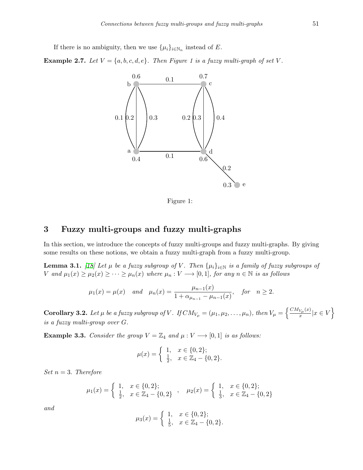If there is no ambiguity, then we use  $\{\mu_i\}_{i \in \mathbb{N}_n}$  instead of *E*.

**Example 2.7.** *Let*  $V = \{a, b, c, d, e\}$ *. Then Figure 1 is a fuzzy multi-graph of set V.* 



Figure 1:

## **3 Fuzzy multi-groups and fuzzy multi-graphs**

In this section, we introduce the concepts of fuzzy multi-groups and fuzzy multi-graphs. By giving some results on these notions, we obtain a fuzzy multi-graph from a fuzzy multi-group.

**Lemma 3.1.** [[18](#page-12-16)] Let  $\mu$  be a fuzzy subgroup of  $V$ . Then  $\{\mu_i\}_{i\in\mathbb{N}}$  is a family of fuzzy subgroups of V and  $\mu_1(x) \ge \mu_2(x) \ge \cdots \ge \mu_n(x)$  where  $\mu_n : V \longrightarrow [0,1]$ , for any  $n \in \mathbb{N}$  is as follows

$$
\mu_1(x) = \mu(x)
$$
 and  $\mu_n(x) = \frac{\mu_{n-1}(x)}{1 + \alpha_{\mu_{n-1}} - \mu_{n-1}(x)}$ , for  $n \ge 2$ .

<span id="page-4-0"></span>**Corollary 3.2.** Let  $\mu$  be a fuzzy subgroup of V. If  $CM_{V_{\mu}} = (\mu_1, \mu_2, \ldots, \mu_n)$ , then  $V_{\mu} = \left\{ \frac{CM_{V_{\mu}}(x)}{x} \right\}$  $\frac{V_\mu(x)}{x}|x \in V$ *is a fuzzy multi-group over G.*

**Example 3.3.** *Consider the group*  $V = \mathbb{Z}_4$  *and*  $\mu : V \longrightarrow [0,1]$  *is as follows:* 

$$
\mu(x) = \begin{cases} 1, & x \in \{0, 2\}; \\ \frac{1}{2}, & x \in \mathbb{Z}_4 - \{0, 2\}. \end{cases}
$$

*Set n* = 3*. Therefore*

$$
\mu_1(x) = \begin{cases} 1, & x \in \{0, 2\}; \\ \frac{1}{2}, & x \in \mathbb{Z}_4 - \{0, 2\} \end{cases}, \quad \mu_2(x) = \begin{cases} 1, & x \in \{0, 2\}; \\ \frac{1}{3}, & x \in \mathbb{Z}_4 - \{0, 2\} \end{cases}
$$

*and*

$$
\mu_3(x) = \begin{cases} 1, & x \in \{0, 2\}; \\ \frac{1}{5}, & x \in \mathbb{Z}_4 - \{0, 2\}. \end{cases}
$$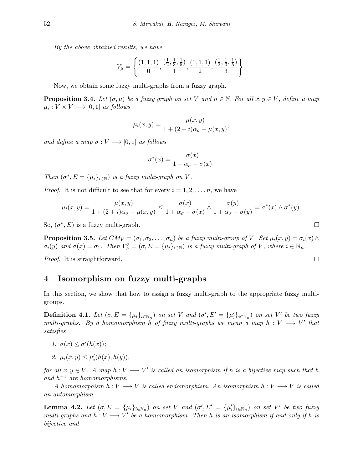*By the above obtained results, we have*

$$
V_{\mu} = \left\{ \frac{(1,1,1)}{0}, \frac{(\frac{1}{2},\frac{1}{3},\frac{1}{5})}{1}, \frac{(1,1,1)}{2}, \frac{(\frac{1}{2},\frac{1}{3},\frac{1}{5})}{3} \right\}
$$

*.*

Now, we obtain some fuzzy multi-graphs from a fuzzy graph.

**Proposition 3.4.** *Let*  $(\sigma, \mu)$  *be a fuzzy graph on set V and*  $n \in \mathbb{N}$ *. For all*  $x, y \in V$ *, define a map*  $\mu_i: V \times V \longrightarrow [0,1]$  *as follows* 

$$
\mu_i(x, y) = \frac{\mu(x, y)}{1 + (2 + i)\alpha_{\sigma} - \mu(x, y)},
$$

*and define a map*  $\sigma: V \longrightarrow [0, 1]$  *as follows* 

$$
\sigma^*(x) = \frac{\sigma(x)}{1 + \alpha_\sigma - \sigma(x)}.
$$

*Then*  $(\sigma^*, E = {\mu_i}_{i \in \mathbb{N}})$  *is a fuzzy multi-graph on V*.

*Proof.* It is not difficult to see that for every  $i = 1, 2, \ldots, n$ , we have

$$
\mu_i(x,y) = \frac{\mu(x,y)}{1 + (2+i)\alpha_{\sigma} - \mu(x,y)} \le \frac{\sigma(x)}{1 + \alpha_{\sigma} - \sigma(x)} \wedge \frac{\sigma(y)}{1 + \alpha_{\sigma} - \sigma(y)} = \sigma^*(x) \wedge \sigma^*(y).
$$

So,  $(\sigma^*, E)$  is a fuzzy multi-graph.

**Proposition 3.5.** Let  $CM_V = (\sigma_1, \sigma_2, ..., \sigma_n)$  be a fuzzy multi-group of V. Set  $\mu_i(x, y) = \sigma_i(x) \wedge$  $\sigma_i(y)$  and  $\sigma(x) = \sigma_1$ . Then  $\Gamma^{\sigma}_{\wedge} = (\sigma, E = {\mu_i}_{i \in \mathbb{N}})$  is a fuzzy multi-graph of V, where  $i \in \mathbb{N}_n$ .

*Proof.* It is straightforward.

## **4 Isomorphism on fuzzy multi-graphs**

In this section, we show that how to assign a fuzzy multi-graph to the appropriate fuzzy multigroups.

**Definition 4.1.** Let  $(\sigma, E = {\mu_i}_{i \in \mathbb{N}_n})$  on set V and  $(\sigma', E' = {\mu'_i}_{i \in \mathbb{N}_n})$  on set V' be two fuzzy *multi-graphs.* By a homomorphism *h* of fuzzy multi-graphs we mean a map  $h: V \longrightarrow V'$  that *satisfies*

- $1. \sigma(x) \leq \sigma'(h(x));$
- *2.*  $\mu_i(x, y) \leq \mu'_i(h(x), h(y)),$

*for all*  $x, y \in V$ . A map  $h: V \longrightarrow V'$  is called an isomorphism if  $h$  is a bijective map such that  $h$ *and h <sup>−</sup>*<sup>1</sup> *are homomorphisms.*

*A* homomorphism  $h: V \longrightarrow V$  is called endomorphism. An isomorphism  $h: V \longrightarrow V$  is called *an automorphism.*

**Lemma 4.2.** Let  $(\sigma, E = {\mu_i}_{i \in \mathbb{N}_n})$  on set V and  $(\sigma', E' = {\mu'_i}_{i \in \mathbb{N}_n})$  on set V' be two fuzzy *multi-graphs and*  $h: V \longrightarrow V'$  *be a homomorphism. Then h is an isomorphism if and only if h is bijective and*

$$
\Box
$$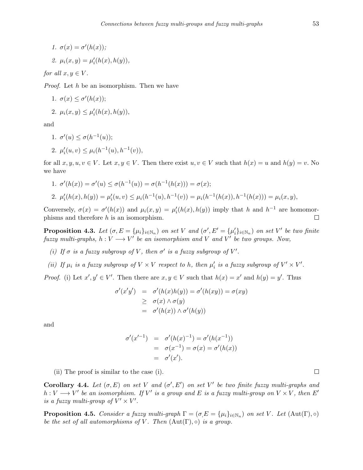$$
1. \ \sigma(x) = \sigma'(h(x));
$$

$$
\mathcal{Q}. \mu_i(x, y) = \mu'_i(h(x), h(y)),
$$

*for all*  $x, y \in V$ *.* 

*Proof.* Let *h* be an isomorphism. Then we have

1. 
$$
\sigma(x) \leq \sigma'(h(x))
$$
;

2.  $\mu_i(x, y) \leq \mu'_i(h(x), h(y)),$ 

and

1. 
$$
\sigma'(u) \le \sigma(h^{-1}(u));
$$
  
2.  $\mu'_i(u, v) \le \mu_i(h^{-1}(u), h^{-1}(v)),$ 

for all  $x, y, u, v \in V$ . Let  $x, y \in V$ . Then there exist  $u, v \in V$  such that  $h(x) = u$  and  $h(y) = v$ . No we have

1. 
$$
\sigma'(h(x)) = \sigma'(u) \le \sigma(h^{-1}(u)) = \sigma(h^{-1}(h(x))) = \sigma(x);
$$
  
\n2.  $\mu'_i(h(x), h(y)) = \mu'_i(u, v) \le \mu_i(h^{-1}(u), h^{-1}(v)) = \mu_i(h^{-1}(h(x)), h^{-1}(h(x))) = \mu_i(x, y),$ 

Conversely,  $\sigma(x) = \sigma'(h(x))$  and  $\mu_i(x, y) = \mu'_i(h(x), h(y))$  imply that h and  $h^{-1}$  are homomorphisms and therefore *h* is an isomorphism.  $\Box$ 

<span id="page-6-0"></span>**Proposition 4.3.** Let  $(\sigma, E = {\mu_i}_{i \in \mathbb{N}_n})$  on set V and  $(\sigma', E' = {\mu'_i}_{i \in \mathbb{N}_n})$  on set V' be two finite *fuzzy* multi-graphs,  $h: V \longrightarrow V'$  be an isomorphism and *V* and *V'* be two groups. Now,

- *(i)* If  $\sigma$  *is a fuzzy subgroup of V*, then  $\sigma'$  *is a fuzzy subgroup of*  $V'$ .
- (ii) If  $\mu_i$  is a fuzzy subgroup of  $V \times V$  respect to h, then  $\mu'_i$  is a fuzzy subgroup of  $V' \times V'$ .

*Proof.* (i) Let  $x', y' \in V'$ . Then there are  $x, y \in V$  such that  $h(x) = x'$  and  $h(y) = y'$ . Thus

$$
\sigma'(x'y') = \sigma'(h(x)h(y)) = \sigma'(h(xy)) = \sigma(xy)
$$
  
\n
$$
\geq \sigma(x) \land \sigma(y)
$$
  
\n
$$
= \sigma'(h(x)) \land \sigma'(h(y))
$$

and

$$
\begin{array}{rcl}\n\sigma'(x'^{-1}) & = & \sigma'(h(x)^{-1}) = \sigma'(h(x^{-1})) \\
& = & \sigma(x^{-1}) = \sigma(x) = \sigma'(h(x)) \\
& = & \sigma'(x').\n\end{array}
$$

(ii) The proof is similar to the case (i).

**Corollary 4.4.** Let  $(\sigma, E)$  on set V and  $(\sigma', E')$  on set V' be two finite fuzzy multi-graphs and  $h: V \longrightarrow V'$  be an isomorphism. If  $V'$  is a group and  $E$  is a fuzzy multi-group on  $V \times V$ , then  $E'$ *is a fuzzy multi-group of*  $V' \times V'$ .

**Proposition 4.5.** *Consider a fuzzy multi-graph*  $\Gamma = (\sigma, E = {\mu_i}_{i \in \mathbb{N}_n})$  *on set V . Let* (Aut( $\Gamma$ *)*,  $\circ$ ) *be the set of all automorphisms of V*. Then  $(Aut(\Gamma), \circ)$  *is a group.*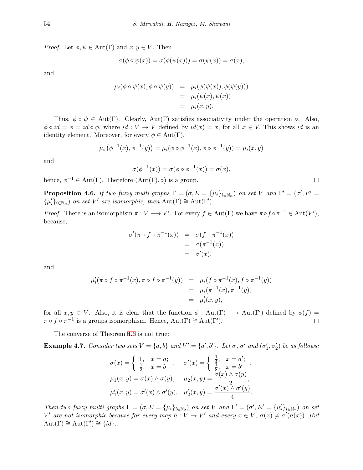*Proof.* Let  $\phi, \psi \in \text{Aut}(\Gamma)$  and  $x, y \in V$ . Then

$$
\sigma(\phi \circ \psi(x)) = \sigma(\phi(\psi(x))) = \sigma(\psi(x)) = \sigma(x),
$$

and

$$
\mu_i(\phi \circ \psi(x), \phi \circ \psi(y)) = \mu_i(\phi(\psi(x)), \phi(\psi(y)))
$$
  
= 
$$
\mu_i(\psi(x), \psi(x))
$$
  
= 
$$
\mu_i(x, y).
$$

Thus,  $\phi \circ \psi \in Aut(\Gamma)$ . Clearly, Aut(Γ) satisfies associativity under the operation  $\circ$ . Also,  $\phi \circ id = \phi = id \circ \phi$ , where  $id: V \to V$  defined by  $id(x) = x$ , for all  $x \in V$ . This shows *id* is an identity element. Moreover, for every  $\phi \in Aut(\Gamma)$ ,

$$
\mu_i(\phi^{-1}(x), \phi^{-1}(y)) = \mu_i(\phi \circ \phi^{-1}(x), \phi \circ \phi^{-1}(y)) = \mu_i(x, y)
$$

and

$$
\sigma(\phi^{-1}(x)) = \sigma(\phi \circ \phi^{-1}(x)) = \sigma(x),
$$

hence,  $\phi^{-1} \in \text{Aut}(\Gamma)$ . Therefore  $(\text{Aut}(\Gamma), \circ)$  is a group.

<span id="page-7-0"></span>**Proposition 4.6.** *If two fuzzy multi-graphs*  $\Gamma = (\sigma, E = {\mu_i}_{i \in \mathbb{N}_n})$  *on set V and*  $\Gamma' = (\sigma', E' =$  $\{\mu'_i\}_{i \in \mathbb{N}_n}$  *on set V*<sup>*'*</sup> *are isomorphic, then*  $\text{Aut}(\Gamma) \cong \text{Aut}(\Gamma')$ *.* 

*Proof.* There is an isomorphism  $\pi : V \longrightarrow V'$ . For every  $f \in Aut(\Gamma)$  we have  $\pi \circ f \circ \pi^{-1} \in Aut(V')$ , because,

$$
\begin{array}{rcl}\n\sigma'(\pi \circ f \circ \pi^{-1}(x)) & = & \sigma(f \circ \pi^{-1}(x)) \\
& = & \sigma(\pi^{-1}(x)) \\
& = & \sigma'(x),\n\end{array}
$$

and

$$
\mu'_i(\pi \circ f \circ \pi^{-1}(x), \pi \circ f \circ \pi^{-1}(y)) = \mu_i(f \circ \pi^{-1}(x), f \circ \pi^{-1}(y))
$$
  
=  $\mu_i(\pi^{-1}(x), \pi^{-1}(y))$   
=  $\mu'_i(x, y),$ 

for all  $x, y \in V$ . Also, it is clear that the function  $\phi : Aut(\Gamma) \longrightarrow Aut(\Gamma')$  defined by  $\phi(f) =$  $\pi \circ f \circ \pi^{-1}$  is a groups isomorphism. Hence,  $Aut(\Gamma) \cong Aut(\Gamma')$ .  $\Box$ 

The converse of Theorem [4.6](#page-7-0) is not true:

**Example 4.7.** Consider two sets  $V = \{a, b\}$  and  $V' = \{a', b'\}$ . Let  $\sigma$ ,  $\sigma'$  and  $(\sigma'_1, \sigma'_2)$  be as follows:

$$
\sigma(x) = \begin{cases} 1, & x = a; \\ \frac{1}{2}, & x = b \end{cases}, \quad \sigma'(x) = \begin{cases} \frac{1}{4}, & x = a'; \\ \frac{1}{8}, & x = b' \end{cases},
$$
  

$$
\mu_1(x, y) = \sigma(x) \land \sigma(y), \quad \mu_2(x, y) = \frac{\sigma(x) \land \sigma(y)}{2},
$$
  

$$
\mu'_1(x, y) = \sigma'(x) \land \sigma'(y), \quad \mu'_2(x, y) = \frac{\sigma'(x) \land \sigma'(y)}{4}.
$$

Then two fuzzy multi-graphs  $\Gamma = (\sigma, E = {\mu_i}_{i \in \mathbb{N}_2})$  on set V and  $\Gamma' = (\sigma', E' = {\mu'_i}_{i \in \mathbb{N}_2})$  on set V' are not isomorphic because for every map  $h: V \to V'$  and every  $x \in V$ ,  $\sigma(x) \neq \sigma'(h(x))$ . But  $Aut(\Gamma) \cong Aut(\Gamma') \cong \{id\}.$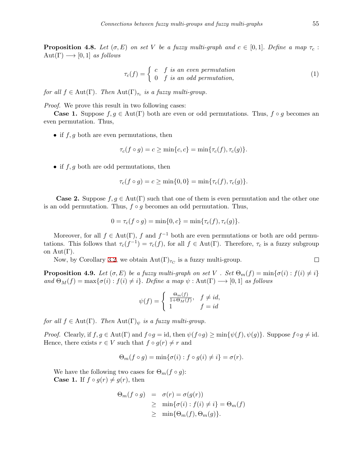**Proposition 4.8.** *Let*  $(\sigma, E)$  *on set V be a fuzzy multi-graph and*  $c \in [0, 1]$ *. Define a map*  $\tau_c$ :  $Aut(\Gamma) \longrightarrow [0,1]$  *as follows* 

$$
\tau_c(f) = \begin{cases} c & f \text{ is an even permutation} \\ 0 & f \text{ is an odd permutation,} \end{cases}
$$
 (1)

*for all*  $f \in Aut(\Gamma)$ *. Then*  $Aut(\Gamma)_{\tau_c}$  *is a fuzzy multi-group.* 

*Proof.* We prove this result in two following cases:

**Case 1.** Suppose  $f, g \in Aut(\Gamma)$  both are even or odd permutations. Thus,  $f \circ g$  becomes an even permutation. Thus,

*•* if *f, g* both are even permutations, then

$$
\tau_c(f \circ g) = c \ge \min\{c, c\} = \min\{\tau_c(f), \tau_c(g)\}.
$$

*•* if *f, g* both are odd permutations, then

$$
\tau_c(f \circ g) = c \ge \min\{0, 0\} = \min\{\tau_c(f), \tau_c(g)\}.
$$

**Case 2.** Suppose  $f, g \in Aut(\Gamma)$  such that one of them is even permutation and the other one is an odd permutation. Thus, *f ◦ g* becomes an odd permutation. Thus,

$$
0 = \tau_c(f \circ g) = \min\{0, c\} = \min\{\tau_c(f), \tau_c(g)\}.
$$

Moreover, for all  $f \in Aut(\Gamma)$ ,  $f$  and  $f^{-1}$  both are even permutations or both are odd permutations. This follows that  $\tau_c(f^{-1}) = \tau_c(f)$ , for all  $f \in Aut(\Gamma)$ . Therefore,  $\tau_c$  is a fuzzy subgroup on  $Aut(\Gamma)$ .

Now, by Corollary [3.2,](#page-4-0) we obtain  $Aut(\Gamma)_{\tau_C}$  is a fuzzy multi-group.

**Proposition 4.9.** *Let*  $(\sigma, E)$  *be a fuzzy multi-graph on set V . Set*  $\Theta_m(f) = \min{\{\sigma(i) : f(i) \neq i\}}$  $\partial M(f) = \max\{\sigma(i) : f(i) \neq i\}$ . Define a map  $\psi : \text{Aut}(\Gamma) \longrightarrow [0, 1]$  as follows

$$
\psi(f) = \begin{cases} \frac{\Theta_m(f)}{1 + \Theta_M(f)}, & f \neq id, \\ 1 & f = id \end{cases}
$$

*for all*  $f \in Aut(\Gamma)$ *. Then*  $Aut(\Gamma)_{\psi}$  *is a fuzzy multi-group.* 

*Proof.* Clearly, if  $f, g \in Aut(\Gamma)$  and  $f \circ g = id$ , then  $\psi(f \circ g) \ge \min{\psi(f), \psi(g)}$ . Suppose  $f \circ g \ne id$ . Hence, there exists  $r \in V$  such that  $f \circ g(r) \neq r$  and

$$
\Theta_m(f \circ g) = \min\{\sigma(i) : f \circ g(i) \neq i\} = \sigma(r).
$$

We have the following two cases for  $\Theta_m(f \circ g)$ : **Case 1.** If  $f \circ g(r) \neq g(r)$ , then

$$
\Theta_m(f \circ g) = \sigma(r) = \sigma(g(r))
$$
  
\n
$$
\geq \min{\{\sigma(i) : f(i) \neq i\}} = \Theta_m(f)
$$
  
\n
$$
\geq \min{\{\Theta_m(f), \Theta_m(g)\}}.
$$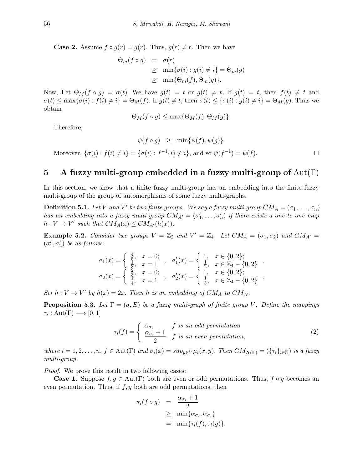**Case 2.** Assume  $f \circ g(r) = g(r)$ . Thus,  $g(r) \neq r$ . Then we have

$$
\Theta_m(f \circ g) = \sigma(r)
$$
  
\n
$$
\geq \min{\{\sigma(i) : g(i) \neq i\}} = \Theta_m(g)
$$
  
\n
$$
\geq \min{\{\Theta_m(f), \Theta_m(g)\}}.
$$

Now, Let  $\Theta_M(f \circ g) = \sigma(t)$ . We have  $g(t) = t$  or  $g(t) \neq t$ . If  $g(t) = t$ , then  $f(t) \neq t$  and  $\sigma(t) \leq \max\{\sigma(i) : f(i) \neq i\} = \Theta_M(f)$ . If  $g(t) \neq t$ , then  $\sigma(t) \leq \{\sigma(i) : g(i) \neq i\} = \Theta_M(g)$ . Thus we obtain

$$
\Theta_M(f \circ g) \le \max\{\Theta_M(f), \Theta_M(g)\}.
$$

Therefore,

 $\psi(f \circ g) \geq \min{\psi(f), \psi(g)}$ . Moreover,  $\{\sigma(i) : f(i) \neq i\} = \{\sigma(i) : f^{-1}(i) \neq i\}$ , and so  $\psi(f^{-1}) = \psi(f)$ .  $\Box$ 

## **5 A fuzzy multi-group embedded in a fuzzy multi-group of** Aut(Γ)

In this section, we show that a finite fuzzy multi-group has an embedding into the finite fuzzy multi-group of the group of automorphisms of some fuzzy multi-graphs.

**Definition 5.1.** Let V and V' be two finite groups. We say a fuzzy multi-group  $CM_A = (\sigma_1, \ldots, \sigma_n)$ *has an embedding into a fuzzy multi-group*  $CM_{A'} = (\sigma'_1, \ldots, \sigma'_n)$  *if there exists a one-to-one map*  $h: V \to V'$  such that  $CM_A(x) \leq CM_{A'}(h(x))$ .

**Example 5.2.** *Consider two groups*  $V = \mathbb{Z}_2$  *and*  $V' = \mathbb{Z}_4$ *. Let*  $CM_A = (\sigma_1, \sigma_2)$  *and*  $CM_{A'} =$  $(\sigma'_1, \sigma'_2)$  *be as follows:* 

$$
\sigma_1(x) = \begin{cases} \frac{4}{5}, & x = 0; \\ \frac{1}{3}, & x = 1 \end{cases}, \quad \sigma'_1(x) = \begin{cases} 1, & x \in \{0, 2\}; \\ \frac{1}{2}, & x \in \mathbb{Z}_4 - \{0, 2\} \end{cases},
$$
  

$$
\sigma_2(x) = \begin{cases} \frac{3}{5}, & x = 0; \\ \frac{1}{4}, & x = 1 \end{cases}, \quad \sigma'_2(x) = \begin{cases} 1, & x \in \{0, 2\}; \\ \frac{1}{3}, & x \in \mathbb{Z}_4 - \{0, 2\} \end{cases}
$$

*Set*  $h: V \to V'$  *by*  $h(x) = 2x$ . *Then h is an embedding of*  $CM_A$  *to*  $CM_{A'}$ .

**Proposition 5.3.** Let  $\Gamma = (\sigma, E)$  be a fuzzy multi-graph of finite group V. Define the mappings  $\tau_i: \text{Aut}(\Gamma) \longrightarrow [0,1]$ 

$$
\tau_i(f) = \begin{cases} \n\frac{\alpha_{\sigma_i}}{\alpha_{\sigma_i} + 1} & \text{if } i \text{ s} \text{ an odd permutation,} \\ \n\frac{\alpha_{\sigma_i} + 1}{2} & \text{if } i \text{ s} \text{ an even permutation,} \n\end{cases} \tag{2}
$$

where  $i = 1, 2, ..., n$ ,  $f \in Aut(\Gamma)$  and  $\sigma_i(x) = \sup_{y \in V} \mu_i(x, y)$ . Then  $CM_{\mathbf{A}(\Gamma)} = (\{\tau_i\}_{i \in \mathbb{N}})$  is a fuzzy *multi-group.*

*Proof.* We prove this result in two following cases:

**Case 1.** Suppose  $f, g \in Aut(\Gamma)$  both are even or odd permutations. Thus,  $f \circ g$  becomes an even permutation. Thus, if *f, g* both are odd permutations, then

$$
\tau_i(f \circ g) = \frac{\alpha_{\sigma_i} + 1}{2}
$$
  
\n
$$
\geq \min{\{\alpha_{\sigma_i}, \alpha_{\sigma_i}\}}
$$
  
\n
$$
= \min{\{\tau_i(f), \tau_i(g)\}}.
$$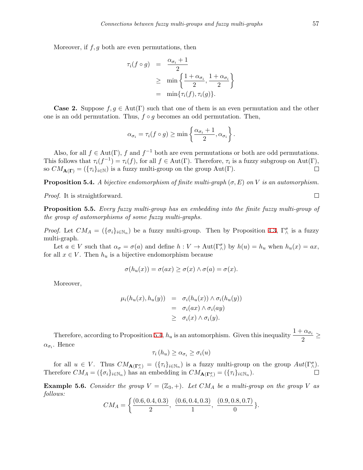Moreover, if *f, g* both are even permutations, then

$$
\tau_i(f \circ g) = \frac{\alpha_{\sigma_i} + 1}{2}
$$
  
\n
$$
\geq \min \left\{ \frac{1 + \alpha_{\sigma_i}}{2}, \frac{1 + \alpha_{\sigma_i}}{2} \right\}
$$
  
\n
$$
= \min \{ \tau_i(f), \tau_i(g) \}.
$$

**Case 2.** Suppose  $f, g \in Aut(\Gamma)$  such that one of them is an even permutation and the other one is an odd permutation. Thus, *f ◦ g* becomes an odd permutation. Then,

$$
\alpha_{\sigma_i} = \tau_i(f \circ g) \ge \min\left\{\frac{\alpha_{\sigma_i} + 1}{2}, \alpha_{\sigma_i}\right\}.
$$

Also, for all  $f \in Aut(\Gamma)$ ,  $f$  and  $f^{-1}$  both are even permutations or both are odd permutations. This follows that  $\tau_i(f^{-1}) = \tau_i(f)$ , for all  $f \in Aut(\Gamma)$ . Therefore,  $\tau_i$  is a fuzzy subgroup on  $Aut(\Gamma)$ , so  $CM_{\mathbf{A}(\mathbf{\Gamma})} = (\{\tau_i\}_{i \in \mathbb{N}})$  is a fuzzy multi-group on the group  $Aut(\Gamma)$ .  $\Box$ 

<span id="page-10-0"></span>**Proposition 5.4.** *A bijective endomorphism of finite multi-graph*  $(\sigma, E)$  *on V is an automorphism.* 

*Proof.* It is straightforward.

<span id="page-10-1"></span>**Proposition 5.5.** *Every fuzzy multi-group has an embedding into the finite fuzzy multi-group of the group of automorphisms of some fuzzy multi-graphs.*

*Proof.* Let  $CM_A = (\{\sigma_i\}_{i \in \mathbb{N}_n})$  be a fuzzy multi-group. Then by Proposition [4.3](#page-6-0),  $\Gamma^{\sigma}_{\wedge}$  is a fuzzy multi-graph.

Let  $a \in V$  such that  $\alpha_{\sigma} = \sigma(a)$  and define  $h: V \to \text{Aut}(\Gamma_{\wedge}^{\sigma})$  by  $h(u) = h_u$  when  $h_u(x) = ax$ , for all  $x \in V$ . Then  $h_u$  is a bijective endomorphism because

$$
\sigma(h_u(x)) = \sigma(ax) \ge \sigma(x) \wedge \sigma(a) = \sigma(x).
$$

Moreover,

$$
\mu_i(h_u(x), h_u(y)) = \sigma_i(h_u(x)) \wedge \sigma_i(h_u(y))
$$
  
= 
$$
\sigma_i(ax) \wedge \sigma_i(ay)
$$
  

$$
\geq \sigma_i(x) \wedge \sigma_i(y).
$$

Therefore, according to Proposition [5.4,](#page-10-0)  $h_u$  is an automorphism. Given this inequality  $\frac{1 + \alpha_{\sigma_i}}{2} \geq$  $\alpha_{\sigma_i}$ . Hence

$$
\tau_i(h_u) \geq \alpha_{\sigma_i} \geq \sigma_i(u)
$$

for all  $u \in V$ . Thus  $CM_{\mathbf{A}(\mathbf{\Gamma}^{\sigma}_{\lambda})} = (\{\tau_i\}_{i \in \mathbb{N}_n})$  is a fuzzy multi-group on the group  $Aut(\Gamma^{\sigma}_{\lambda})$ . Therefore  $CM_A = (\{\sigma_i\}_{i \in \mathbb{N}_n})$  has an embedding in  $CM_{\mathbf{A}(\Gamma_\wedge^{\sigma})} = (\{\tau_i\}_{i \in \mathbb{N}_n})$ .

**Example 5.6.** *Consider the group*  $V = (\mathbb{Z}_3, +)$ *. Let*  $CM_A$  *be a multi-group on the group V as follows:*

$$
CM_A = \left\{ \frac{(0.6, 0.4, 0.3)}{2}, \frac{(0.6, 0.4, 0.3)}{1}, \frac{(0.9, 0.8, 0.7)}{0} \right\}.
$$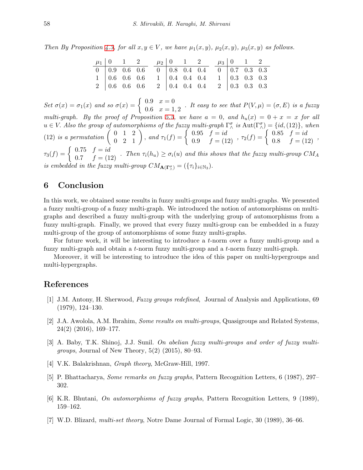*Then By Proposition* [4.3,](#page-6-0) *for all*  $x, y \in V$ , we have  $\mu_1(x, y)$ ,  $\mu_2(x, y)$ ,  $\mu_3(x, y)$  as follows.

|  |  | $\mu_1   0 \quad 1 \quad 2 \qquad \mu_2   0 \quad 1 \quad 2 \qquad \mu_3   0 \quad 1 \quad 2$ |  |  |  |  |
|--|--|-----------------------------------------------------------------------------------------------|--|--|--|--|
|  |  |                                                                                               |  |  |  |  |
|  |  | $1   0.6 0.6 0.6 1   0.4 0.4 0.4 1   0.3 0.3 0.3$                                             |  |  |  |  |
|  |  | $2   0.6 0.6 0.6 2   0.4 0.4 0.4 2   0.3 0.3 0.3$                                             |  |  |  |  |

*Set*  $\sigma(x) = \sigma_1(x)$  *and so*  $\sigma(x) = \begin{cases} 0.9 & x = 0 \\ 0.6 & x = 1 \end{cases}$  $0.6 \, x = 0$ <br>  $x = 1, 2$ . It easy to see that  $P(V, \mu) = (\sigma, E)$  is a fuzzy *multi-graph.* By the proof of Proposition [5.5](#page-10-1), we have  $a = 0$ , and  $h_u(x) = 0 + x = x$  for all  $u \in V$ . Also the group of automorphisms of the fuzzy multi-graph  $\Gamma^{\sigma}_{\wedge}$  is  $\text{Aut}(\Gamma^{\sigma}_{\wedge}) = \{id, (12)\}$ , when (12) is a permutation  $\begin{pmatrix} 0 & 1 & 2 \\ 0 & 2 & 1 \end{pmatrix}$ , and  $\tau_1(f) = \begin{cases} 0.95 & f = id \\ 0.9 & f = (12) \end{cases}$ ,  $\tau_2(f) = \begin{cases} 0.85 & f = id \\ 0.8 & f = (12) \end{cases}$ ,  $\tau_3(f) = \begin{cases} 0.75 & f = id \ 0.7 & f = (12) \end{cases}$ . Then  $\tau_i(h_u) \geq \sigma_i(u)$  and this shows that the fuzzy multi-group  $CM_A$ *is embedded in the fuzzy multi-group*  $CM_{\mathbf{A}(\Gamma_\wedge^{\sigma})} = (\{\tau_i\}_{i \in \mathbb{N}_3})$ .

## **6 Conclusion**

In this work, we obtained some results in fuzzy multi-groups and fuzzy multi-graphs. We presented a fuzzy multi-group of a fuzzy multi-graph. We introduced the notion of automorphisms on multigraphs and described a fuzzy multi-group with the underlying group of automorphisms from a fuzzy multi-graph. Finally, we proved that every fuzzy multi-group can be embedded in a fuzzy multi-group of the group of automorphisms of some fuzzy multi-graphs.

For future work, it will be interesting to introduce a *t*-norm over a fuzzy multi-group and a fuzzy multi-graph and obtain a *t*-norm fuzzy multi-group and a *t*-norm fuzzy multi-graph.

Moreover, it will be interesting to introduce the idea of this paper on multi-hypergroups and multi-hypergraphs.

### **References**

- <span id="page-11-0"></span>[1] J.M. Antony, H. Sherwood, *Fuzzy groups redefined*, Journal of Analysis and Applications, 69 (1979), 124–130.
- <span id="page-11-2"></span>[2] J.A. Awolola, A.M. Ibrahim, *Some results on multi-groups*, Quasigroups and Related Systems, 24(2) (2016), 169–177.
- <span id="page-11-3"></span>[3] A. Baby, T.K. Shinoj, J.J. Sunil. *On abelian fuzzy multi-groups and order of fuzzy multigroups*, Journal of New Theory, 5(2) (2015), 80–93.
- <span id="page-11-4"></span>[4] V.K. Balakrishnan, *Graph theory*, McGraw-Hill, 1997.
- <span id="page-11-5"></span>[5] P. Bhattacharya, *Some remarks on fuzzy graphs*, Pattern Recognition Letters, 6 (1987), 297– 302.
- <span id="page-11-6"></span>[6] K.R. Bhutani, *On automorphisms of fuzzy graphs*, Pattern Recognition Letters, 9 (1989), 159–162.
- <span id="page-11-1"></span>[7] W.D. Blizard, *multi-set theory*, Notre Dame Journal of Formal Logic, 30 (1989), 36–66.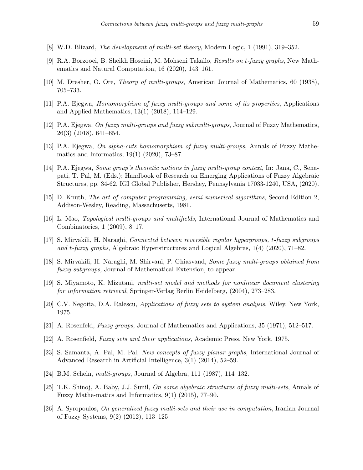- <span id="page-12-3"></span>[8] W.D. Blizard, *The development of multi-set theory*, Modern Logic, 1 (1991), 319–352.
- <span id="page-12-13"></span>[9] R.A. Borzooei, B. Sheikh Hoseini, M. Mohseni Takallo, *Results on t-fuzzy graphs*, New Mathematics and Natural Computation, 16 (2020), 143–161.
- <span id="page-12-4"></span>[10] M. Dresher, O. Ore, *Theory of multi-groups*, American Journal of Mathematics, 60 (1938), 705–733.
- <span id="page-12-10"></span>[11] P.A. Ejegwa, *Homomorphism of fuzzy multi-groups and some of its properties*, Applications and Applied Mathematics, 13(1) (2018), 114–129.
- <span id="page-12-8"></span>[12] P.A. Ejegwa, *On fuzzy multi-groups and fuzzy submulti-groups*, Journal of Fuzzy Mathematics, 26(3) (2018), 641–654.
- <span id="page-12-11"></span>[13] P.A. Ejegwa, *On alpha-cuts homomorphism of fuzzy multi-groups*, Annals of Fuzzy Mathematics and Informatics, 19(1) (2020), 73–87.
- <span id="page-12-9"></span>[14] P.A. Ejegwa, *Some group's theoretic notions in fuzzy multi-group context*, In: Jana, C., Senapati, T. Pal, M. (Eds.); Handbook of Research on Emerging Applications of Fuzzy Algebraic Structures, pp. 34-62, IGI Global Publisher, Hershey, Pennsylvania 17033-1240, USA, (2020).
- <span id="page-12-2"></span>[15] D. Knuth, *The art of computer programming, semi numerical algorithms*, Second Edition 2, Addison-Wesley, Reading, Massachusetts, 1981.
- <span id="page-12-5"></span>[16] L. Mao, *Topological multi-groups and multifields*, International Journal of Mathematics and Combinatorics, 1 (2009), 8–17.
- <span id="page-12-14"></span>[17] S. Mirvakili, H. Naraghi, *Connected between reversible regular hypergroups, t-fuzzy subgroups and t-fuzzy graphs*, Algebraic Hyperstructures and Logical Algebras, 1(4) (2020), 71–82.
- <span id="page-12-16"></span>[18] S. Mirvakili, H. Naraghi, M. Shirvani, P. Ghiasvand, *Some fuzzy multi-groups obtained from fuzzy subgroups*, Journal of Mathematical Extension, to appear.
- <span id="page-12-18"></span>[19] S. Miyamoto, K. Mizutani, *multi-set model and methods for nonlinear document clustering for information retrieval*, Springer-Verlag Berlin Heidelberg, (2004), 273–283.
- <span id="page-12-1"></span>[20] C.V. Negoita, D.A. Ralescu, *Applications of fuzzy sets to system analysis*, Wiley, New York, 1975.
- <span id="page-12-0"></span>[21] A. Rosenfeld, *Fuzzy groups*, Journal of Mathematics and Applications, 35 (1971), 512–517.
- <span id="page-12-12"></span>[22] A. Rosenfield, *Fuzzy sets and their applications*, Academic Press, New York, 1975.
- <span id="page-12-15"></span>[23] S. Samanta, A. Pal, M. Pal, *New concepts of fuzzy planar graphs*, International Journal of Advanced Research in Artificial Intelligence, 3(1) (2014), 52–59.
- <span id="page-12-6"></span>[24] B.M. Schein, *multi-groups*, Journal of Algebra, 111 (1987), 114–132.
- <span id="page-12-7"></span>[25] T.K. Shinoj, A. Baby, J.J. Sunil, *On some algebraic structures of fuzzy multi-sets*, Annals of Fuzzy Mathe-matics and Informatics, 9(1) (2015), 77–90.
- <span id="page-12-17"></span>[26] A. Syropoulos, *On generalized fuzzy multi-sets and their use in computation*, Iranian Journal of Fuzzy Systems, 9(2) (2012), 113–125